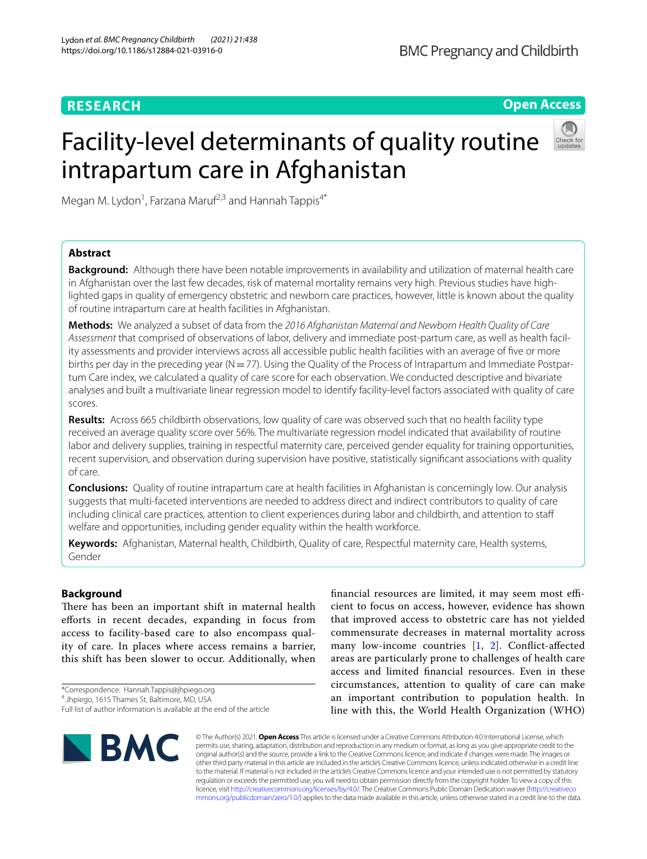# **RESEARCH**

# **Open Access**

# Facility-level determinants of quality routine intrapartum care in Afghanistan



Megan M. Lydon<sup>1</sup>, Farzana Maruf<sup>2,3</sup> and Hannah Tappis<sup>4\*</sup>

# **Abstract**

**Background:** Although there have been notable improvements in availability and utilization of maternal health care in Afghanistan over the last few decades, risk of maternal mortality remains very high. Previous studies have highlighted gaps in quality of emergency obstetric and newborn care practices, however, little is known about the quality of routine intrapartum care at health facilities in Afghanistan.

**Methods:** We analyzed a subset of data from the *2016 Afghanistan Maternal and Newborn Health Quality of Care Assessment* that comprised of observations of labor, delivery and immediate post-partum care, as well as health facility assessments and provider interviews across all accessible public health facilities with an average of fve or more births per day in the preceding year ( $N=77$ ). Using the Quality of the Process of Intrapartum and Immediate Postpartum Care index, we calculated a quality of care score for each observation. We conducted descriptive and bivariate analyses and built a multivariate linear regression model to identify facility-level factors associated with quality of care scores.

**Results:** Across 665 childbirth observations, low quality of care was observed such that no health facility type received an average quality score over 56%. The multivariate regression model indicated that availability of routine labor and delivery supplies, training in respectful maternity care, perceived gender equality for training opportunities, recent supervision, and observation during supervision have positive, statistically signifcant associations with quality of care.

**Conclusions:** Quality of routine intrapartum care at health facilities in Afghanistan is concerningly low. Our analysis suggests that multi-faceted interventions are needed to address direct and indirect contributors to quality of care including clinical care practices, attention to client experiences during labor and childbirth, and attention to staf welfare and opportunities, including gender equality within the health workforce.

**Keywords:** Afghanistan, Maternal health, Childbirth, Quality of care, Respectful maternity care, Health systems, Gender

# **Background**

There has been an important shift in maternal health eforts in recent decades, expanding in focus from access to facility-based care to also encompass quality of care. In places where access remains a barrier, this shift has been slower to occur. Additionally, when

\*Correspondence: Hannah.Tappis@jhpiego.org

financial resources are limited, it may seem most efficient to focus on access, however, evidence has shown that improved access to obstetric care has not yielded commensurate decreases in maternal mortality across many low-income countries [[1](#page-9-0), [2](#page-9-1)]. Confict-afected areas are particularly prone to challenges of health care access and limited fnancial resources. Even in these circumstances, attention to quality of care can make an important contribution to population health. In line with this, the World Health Organization (WHO)



© The Author(s) 2021. **Open Access** This article is licensed under a Creative Commons Attribution 4.0 International License, which permits use, sharing, adaptation, distribution and reproduction in any medium or format, as long as you give appropriate credit to the original author(s) and the source, provide a link to the Creative Commons licence, and indicate if changes were made. The images or other third party material in this article are included in the article's Creative Commons licence, unless indicated otherwise in a credit line to the material. If material is not included in the article's Creative Commons licence and your intended use is not permitted by statutory regulation or exceeds the permitted use, you will need to obtain permission directly from the copyright holder. To view a copy of this licence, visit [http://creativecommons.org/licenses/by/4.0/.](http://creativecommons.org/licenses/by/4.0/) The Creative Commons Public Domain Dedication waiver ([http://creativeco](http://creativecommons.org/publicdomain/zero/1.0/) [mmons.org/publicdomain/zero/1.0/](http://creativecommons.org/publicdomain/zero/1.0/)) applies to the data made available in this article, unless otherwise stated in a credit line to the data.

<sup>4</sup> Jhpiego, 1615 Thames St, Baltimore, MD, USA

Full list of author information is available at the end of the article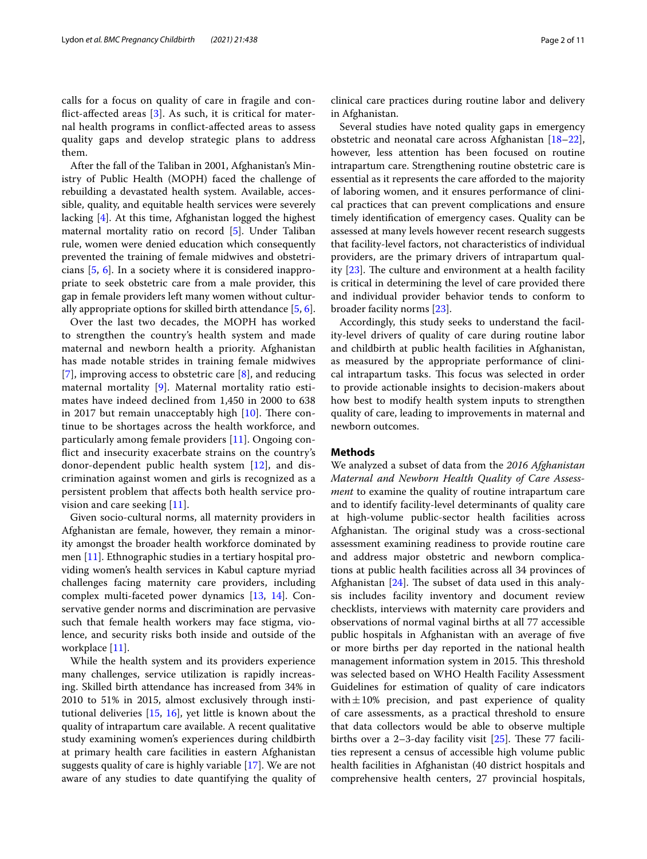calls for a focus on quality of care in fragile and conflict-affected areas  $[3]$  $[3]$ . As such, it is critical for maternal health programs in confict-afected areas to assess quality gaps and develop strategic plans to address them.

After the fall of the Taliban in 2001, Afghanistan's Ministry of Public Health (MOPH) faced the challenge of rebuilding a devastated health system. Available, accessible, quality, and equitable health services were severely lacking [\[4](#page-9-3)]. At this time, Afghanistan logged the highest maternal mortality ratio on record [\[5](#page-9-4)]. Under Taliban rule, women were denied education which consequently prevented the training of female midwives and obstetricians [\[5](#page-9-4), [6](#page-9-5)]. In a society where it is considered inappropriate to seek obstetric care from a male provider, this gap in female providers left many women without culturally appropriate options for skilled birth attendance [[5,](#page-9-4) [6](#page-9-5)].

Over the last two decades, the MOPH has worked to strengthen the country's health system and made maternal and newborn health a priority. Afghanistan has made notable strides in training female midwives [[7](#page-9-6)], improving access to obstetric care [\[8](#page-9-7)], and reducing maternal mortality [[9\]](#page-9-8). Maternal mortality ratio estimates have indeed declined from 1,450 in 2000 to 638 in 2017 but remain unacceptably high  $[10]$  $[10]$ . There continue to be shortages across the health workforce, and particularly among female providers [\[11](#page-10-0)]. Ongoing confict and insecurity exacerbate strains on the country's donor-dependent public health system [[12\]](#page-10-1), and discrimination against women and girls is recognized as a persistent problem that afects both health service provision and care seeking [[11\]](#page-10-0).

Given socio-cultural norms, all maternity providers in Afghanistan are female, however, they remain a minority amongst the broader health workforce dominated by men [[11](#page-10-0)]. Ethnographic studies in a tertiary hospital providing women's health services in Kabul capture myriad challenges facing maternity care providers, including complex multi-faceted power dynamics [[13,](#page-10-2) [14](#page-10-3)]. Conservative gender norms and discrimination are pervasive such that female health workers may face stigma, violence, and security risks both inside and outside of the workplace [\[11\]](#page-10-0).

While the health system and its providers experience many challenges, service utilization is rapidly increasing. Skilled birth attendance has increased from 34% in 2010 to 51% in 2015, almost exclusively through institutional deliveries [\[15](#page-10-4), [16\]](#page-10-5), yet little is known about the quality of intrapartum care available. A recent qualitative study examining women's experiences during childbirth at primary health care facilities in eastern Afghanistan suggests quality of care is highly variable [[17\]](#page-10-6). We are not aware of any studies to date quantifying the quality of clinical care practices during routine labor and delivery in Afghanistan.

Several studies have noted quality gaps in emergency obstetric and neonatal care across Afghanistan [[18](#page-10-7)[–22](#page-10-8)], however, less attention has been focused on routine intrapartum care. Strengthening routine obstetric care is essential as it represents the care aforded to the majority of laboring women, and it ensures performance of clinical practices that can prevent complications and ensure timely identifcation of emergency cases. Quality can be assessed at many levels however recent research suggests that facility-level factors, not characteristics of individual providers, are the primary drivers of intrapartum quality  $[23]$  $[23]$ . The culture and environment at a health facility is critical in determining the level of care provided there and individual provider behavior tends to conform to broader facility norms [[23\]](#page-10-9).

Accordingly, this study seeks to understand the facility-level drivers of quality of care during routine labor and childbirth at public health facilities in Afghanistan, as measured by the appropriate performance of clinical intrapartum tasks. This focus was selected in order to provide actionable insights to decision-makers about how best to modify health system inputs to strengthen quality of care, leading to improvements in maternal and newborn outcomes.

### **Methods**

We analyzed a subset of data from the *2016 Afghanistan Maternal and Newborn Health Quality of Care Assessment* to examine the quality of routine intrapartum care and to identify facility-level determinants of quality care at high-volume public-sector health facilities across Afghanistan. The original study was a cross-sectional assessment examining readiness to provide routine care and address major obstetric and newborn complications at public health facilities across all 34 provinces of Afghanistan  $[24]$ . The subset of data used in this analysis includes facility inventory and document review checklists, interviews with maternity care providers and observations of normal vaginal births at all 77 accessible public hospitals in Afghanistan with an average of fve or more births per day reported in the national health management information system in 2015. This threshold was selected based on WHO Health Facility Assessment Guidelines for estimation of quality of care indicators with $\pm 10\%$  precision, and past experience of quality of care assessments, as a practical threshold to ensure that data collectors would be able to observe multiple births over a 2-3-day facility visit  $[25]$ . These 77 facilities represent a census of accessible high volume public health facilities in Afghanistan (40 district hospitals and comprehensive health centers, 27 provincial hospitals,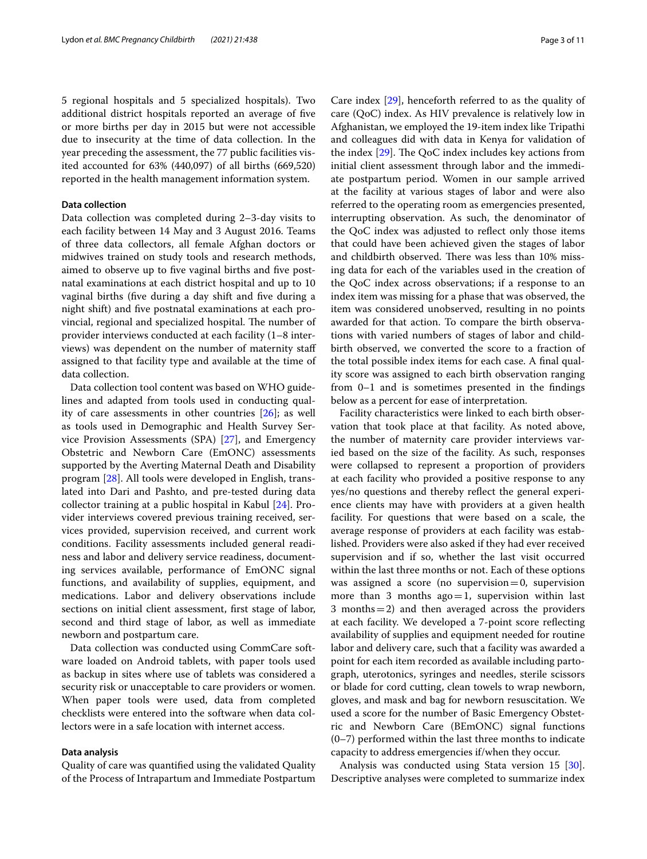5 regional hospitals and 5 specialized hospitals). Two additional district hospitals reported an average of fve or more births per day in 2015 but were not accessible due to insecurity at the time of data collection. In the year preceding the assessment, the 77 public facilities visited accounted for 63% (440,097) of all births (669,520) reported in the health management information system.

## **Data collection**

Data collection was completed during 2–3-day visits to each facility between 14 May and 3 August 2016. Teams of three data collectors, all female Afghan doctors or midwives trained on study tools and research methods, aimed to observe up to fve vaginal births and fve postnatal examinations at each district hospital and up to 10 vaginal births (five during a day shift and five during a night shift) and fve postnatal examinations at each provincial, regional and specialized hospital. The number of provider interviews conducted at each facility (1–8 interviews) was dependent on the number of maternity staf assigned to that facility type and available at the time of data collection.

Data collection tool content was based on WHO guidelines and adapted from tools used in conducting quality of care assessments in other countries [\[26](#page-10-12)]; as well as tools used in Demographic and Health Survey Service Provision Assessments (SPA) [\[27](#page-10-13)], and Emergency Obstetric and Newborn Care (EmONC) assessments supported by the Averting Maternal Death and Disability program [\[28\]](#page-10-14). All tools were developed in English, translated into Dari and Pashto, and pre-tested during data collector training at a public hospital in Kabul [\[24](#page-10-10)]. Provider interviews covered previous training received, services provided, supervision received, and current work conditions. Facility assessments included general readiness and labor and delivery service readiness, documenting services available, performance of EmONC signal functions, and availability of supplies, equipment, and medications. Labor and delivery observations include sections on initial client assessment, frst stage of labor, second and third stage of labor, as well as immediate newborn and postpartum care.

Data collection was conducted using CommCare software loaded on Android tablets, with paper tools used as backup in sites where use of tablets was considered a security risk or unacceptable to care providers or women. When paper tools were used, data from completed checklists were entered into the software when data collectors were in a safe location with internet access.

## **Data analysis**

Quality of care was quantifed using the validated Quality of the Process of Intrapartum and Immediate Postpartum

Care index [[29](#page-10-15)], henceforth referred to as the quality of care (QoC) index. As HIV prevalence is relatively low in Afghanistan, we employed the 19-item index like Tripathi and colleagues did with data in Kenya for validation of the index  $[29]$ . The QoC index includes key actions from initial client assessment through labor and the immediate postpartum period. Women in our sample arrived at the facility at various stages of labor and were also referred to the operating room as emergencies presented, interrupting observation. As such, the denominator of the QoC index was adjusted to refect only those items that could have been achieved given the stages of labor and childbirth observed. There was less than 10% missing data for each of the variables used in the creation of the QoC index across observations; if a response to an index item was missing for a phase that was observed, the item was considered unobserved, resulting in no points awarded for that action. To compare the birth observations with varied numbers of stages of labor and childbirth observed, we converted the score to a fraction of the total possible index items for each case. A fnal quality score was assigned to each birth observation ranging from 0–1 and is sometimes presented in the fndings below as a percent for ease of interpretation.

Facility characteristics were linked to each birth observation that took place at that facility. As noted above, the number of maternity care provider interviews varied based on the size of the facility. As such, responses were collapsed to represent a proportion of providers at each facility who provided a positive response to any yes/no questions and thereby refect the general experience clients may have with providers at a given health facility. For questions that were based on a scale, the average response of providers at each facility was established. Providers were also asked if they had ever received supervision and if so, whether the last visit occurred within the last three months or not. Each of these options was assigned a score (no supervision  $=0$ , supervision more than 3 months  $ago=1$ , supervision within last 3 months  $=$  2) and then averaged across the providers at each facility. We developed a 7-point score refecting availability of supplies and equipment needed for routine labor and delivery care, such that a facility was awarded a point for each item recorded as available including partograph, uterotonics, syringes and needles, sterile scissors or blade for cord cutting, clean towels to wrap newborn, gloves, and mask and bag for newborn resuscitation. We used a score for the number of Basic Emergency Obstetric and Newborn Care (BEmONC) signal functions (0–7) performed within the last three months to indicate capacity to address emergencies if/when they occur.

Analysis was conducted using Stata version 15 [\[30](#page-10-16)]. Descriptive analyses were completed to summarize index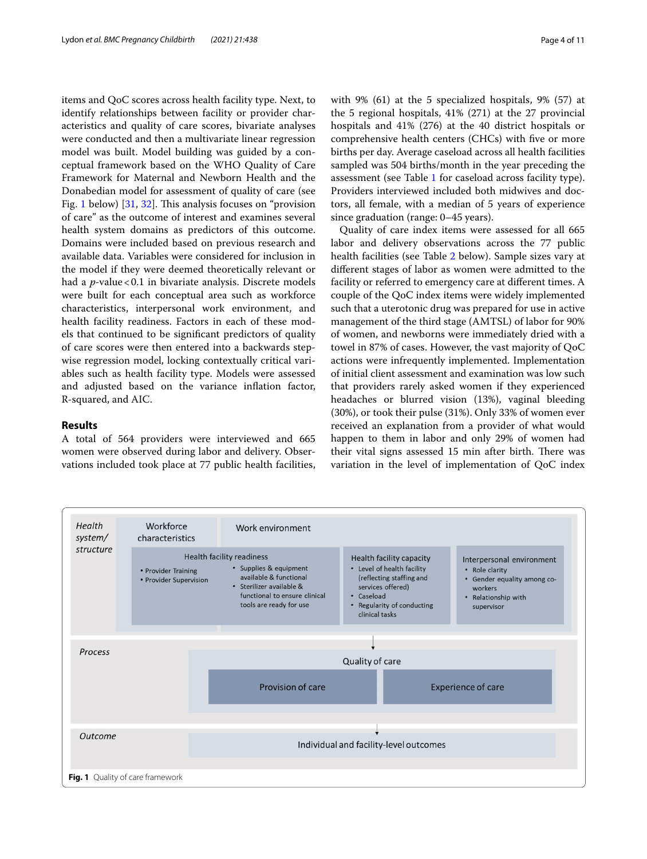items and QoC scores across health facility type. Next, to identify relationships between facility or provider characteristics and quality of care scores, bivariate analyses were conducted and then a multivariate linear regression model was built. Model building was guided by a conceptual framework based on the WHO Quality of Care Framework for Maternal and Newborn Health and the Donabedian model for assessment of quality of care (see Fig. [1](#page-3-0) below) [\[31,](#page-10-17) [32\]](#page-10-18). This analysis focuses on "provision" of care" as the outcome of interest and examines several health system domains as predictors of this outcome. Domains were included based on previous research and available data. Variables were considered for inclusion in the model if they were deemed theoretically relevant or had a *p*-value < 0.1 in bivariate analysis. Discrete models were built for each conceptual area such as workforce characteristics, interpersonal work environment, and health facility readiness. Factors in each of these models that continued to be signifcant predictors of quality of care scores were then entered into a backwards stepwise regression model, locking contextually critical variables such as health facility type. Models were assessed and adjusted based on the variance infation factor, R-squared, and AIC.

# **Results**

A total of 564 providers were interviewed and 665 women were observed during labor and delivery. Observations included took place at 77 public health facilities, with 9% (61) at the 5 specialized hospitals, 9% (57) at the 5 regional hospitals, 41% (271) at the 27 provincial hospitals and 41% (276) at the 40 district hospitals or comprehensive health centers (CHCs) with fve or more births per day. Average caseload across all health facilities sampled was 504 births/month in the year preceding the assessment (see Table [1](#page-4-0) for caseload across facility type). Providers interviewed included both midwives and doctors, all female, with a median of 5 years of experience since graduation (range: 0–45 years).

Quality of care index items were assessed for all 665 labor and delivery observations across the 77 public health facilities (see Table [2](#page-5-0) below). Sample sizes vary at diferent stages of labor as women were admitted to the facility or referred to emergency care at diferent times. A couple of the QoC index items were widely implemented such that a uterotonic drug was prepared for use in active management of the third stage (AMTSL) of labor for 90% of women, and newborns were immediately dried with a towel in 87% of cases. However, the vast majority of QoC actions were infrequently implemented. Implementation of initial client assessment and examination was low such that providers rarely asked women if they experienced headaches or blurred vision (13%), vaginal bleeding (30%), or took their pulse (31%). Only 33% of women ever received an explanation from a provider of what would happen to them in labor and only 29% of women had their vital signs assessed 15 min after birth. There was variation in the level of implementation of QoC index

<span id="page-3-0"></span>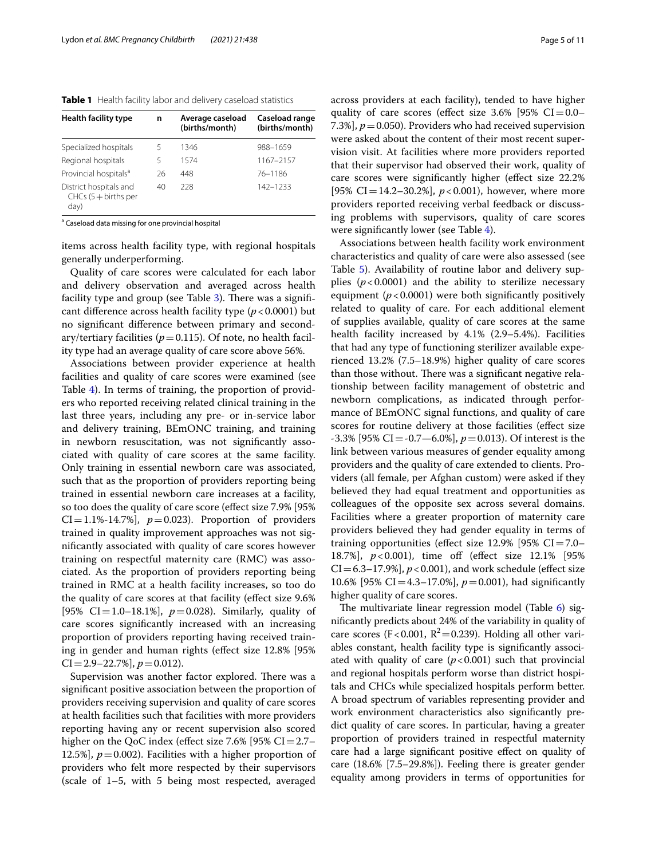<span id="page-4-0"></span>**Table 1** Health facility labor and delivery caseload statistics

| <b>Health facility type</b>                              | n  | Average caseload<br>(births/month) | Caseload range<br>(births/month) |
|----------------------------------------------------------|----|------------------------------------|----------------------------------|
| Specialized hospitals                                    | 5  | 1346                               | 988-1659                         |
| Regional hospitals                                       | 5  | 1574                               | 1167-2157                        |
| Provincial hospitals <sup>a</sup>                        | 26 | 448                                | 76-1186                          |
| District hospitals and<br>$CHCs (5 + births per$<br>day) | 40 | 228                                | 142-1233                         |

<sup>a</sup> Caseload data missing for one provincial hospital

items across health facility type, with regional hospitals generally underperforming.

Quality of care scores were calculated for each labor and delivery observation and averaged across health facility type and group (see Table  $3$ ). There was a significant diference across health facility type (*p*<0.0001) but no signifcant diference between primary and secondary/tertiary facilities ( $p = 0.115$ ). Of note, no health facility type had an average quality of care score above 56%.

Associations between provider experience at health facilities and quality of care scores were examined (see Table [4](#page-6-1)). In terms of training, the proportion of providers who reported receiving related clinical training in the last three years, including any pre- or in-service labor and delivery training, BEmONC training, and training in newborn resuscitation, was not signifcantly associated with quality of care scores at the same facility. Only training in essential newborn care was associated, such that as the proportion of providers reporting being trained in essential newborn care increases at a facility, so too does the quality of care score (efect size 7.9% [95%  $CI = 1.1\% - 14.7\%$ ,  $p = 0.023$ ). Proportion of providers trained in quality improvement approaches was not signifcantly associated with quality of care scores however training on respectful maternity care (RMC) was associated. As the proportion of providers reporting being trained in RMC at a health facility increases, so too do the quality of care scores at that facility (efect size 9.6% [95% CI=1.0–18.1%],  $p=0.028$ ). Similarly, quality of care scores signifcantly increased with an increasing proportion of providers reporting having received training in gender and human rights (efect size 12.8% [95%  $CI = 2.9 - 22.7\%$ ,  $p = 0.012$ .

Supervision was another factor explored. There was a signifcant positive association between the proportion of providers receiving supervision and quality of care scores at health facilities such that facilities with more providers reporting having any or recent supervision also scored higher on the QoC index (effect size  $7.6\%$  [95% CI=2.7– 12.5%],  $p = 0.002$ ). Facilities with a higher proportion of providers who felt more respected by their supervisors (scale of 1–5, with 5 being most respected, averaged across providers at each facility), tended to have higher quality of care scores (effect size  $3.6\%$  [95% CI=0.0– 7.3%],  $p = 0.050$ ). Providers who had received supervision were asked about the content of their most recent supervision visit. At facilities where more providers reported that their supervisor had observed their work, quality of care scores were signifcantly higher (efect size 22.2% [95% CI=14.2–30.2%],  $p < 0.001$ ), however, where more providers reported receiving verbal feedback or discussing problems with supervisors, quality of care scores were signifcantly lower (see Table [4](#page-6-1)).

Associations between health facility work environment characteristics and quality of care were also assessed (see Table [5\)](#page-7-0). Availability of routine labor and delivery supplies  $(p<0.0001)$  and the ability to sterilize necessary equipment  $(p<0.0001)$  were both significantly positively related to quality of care. For each additional element of supplies available, quality of care scores at the same health facility increased by 4.1% (2.9–5.4%). Facilities that had any type of functioning sterilizer available experienced 13.2% (7.5–18.9%) higher quality of care scores than those without. There was a significant negative relationship between facility management of obstetric and newborn complications, as indicated through performance of BEmONC signal functions, and quality of care scores for routine delivery at those facilities (efect size -3.3% [95% CI=-0.7—6.0%], *p*=0.013). Of interest is the link between various measures of gender equality among providers and the quality of care extended to clients. Providers (all female, per Afghan custom) were asked if they believed they had equal treatment and opportunities as colleagues of the opposite sex across several domains. Facilities where a greater proportion of maternity care providers believed they had gender equality in terms of training opportunities (effect size  $12.9\%$  [95% CI=7.0– 18.7%], *p*<0.001), time of (efect size 12.1% [95%  $CI = 6.3 - 17.9\%$ ],  $p < 0.001$ ), and work schedule (effect size 10.6% [95% CI=4.3–17.0%], *p*=0.001), had signifcantly higher quality of care scores.

The multivariate linear regression model (Table  $6$ ) signifcantly predicts about 24% of the variability in quality of care scores (F<0.001,  $R^2$ =0.239). Holding all other variables constant, health facility type is signifcantly associated with quality of care  $(p<0.001)$  such that provincial and regional hospitals perform worse than district hospitals and CHCs while specialized hospitals perform better. A broad spectrum of variables representing provider and work environment characteristics also signifcantly predict quality of care scores. In particular, having a greater proportion of providers trained in respectful maternity care had a large signifcant positive efect on quality of care (18.6% [7.5–29.8%]). Feeling there is greater gender equality among providers in terms of opportunities for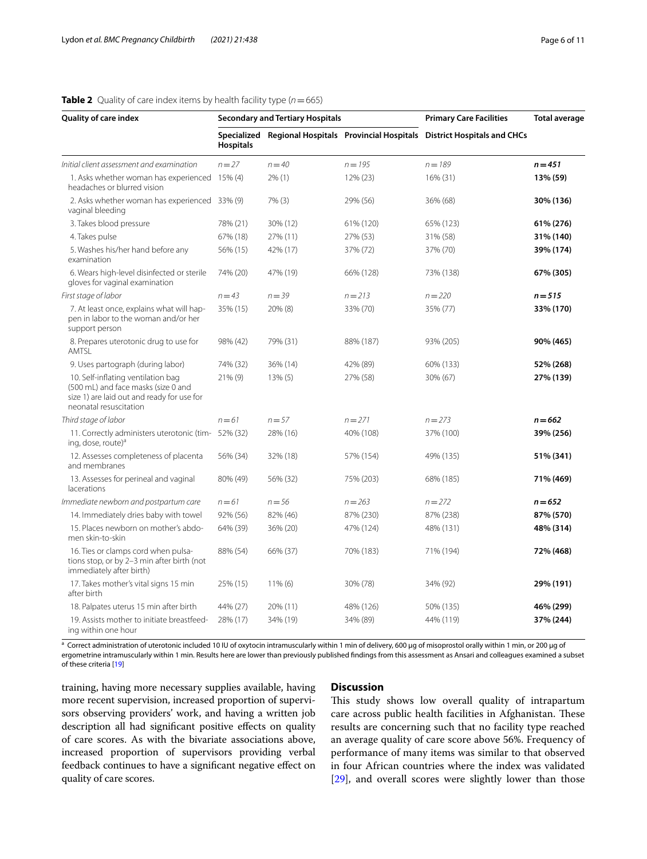<span id="page-5-0"></span>

| <b>Quality of care index</b>                                                                                                                      | <b>Secondary and Tertiary Hospitals</b> |            |                                                     | <b>Primary Care Facilities</b>     | <b>Total average</b> |
|---------------------------------------------------------------------------------------------------------------------------------------------------|-----------------------------------------|------------|-----------------------------------------------------|------------------------------------|----------------------|
|                                                                                                                                                   | <b>Hospitals</b>                        |            | Specialized Regional Hospitals Provincial Hospitals | <b>District Hospitals and CHCs</b> |                      |
| Initial client assessment and examination                                                                                                         | $n = 27$                                | $n = 40$   | $n = 195$                                           | $n = 189$                          | $n = 451$            |
| 1. Asks whether woman has experienced 15% (4)<br>headaches or blurred vision                                                                      |                                         | $2\%$ (1)  | 12% (23)                                            | 16% (31)                           | 13% (59)             |
| 2. Asks whether woman has experienced 33% (9)<br>vaginal bleeding                                                                                 |                                         | 7% (3)     | 29% (56)                                            | 36% (68)                           | 30% (136)            |
| 3. Takes blood pressure                                                                                                                           | 78% (21)                                | 30% (12)   | 61% (120)                                           | 65% (123)                          | 61% (276)            |
| 4. Takes pulse                                                                                                                                    | 67% (18)                                | 27% (11)   | 27% (53)                                            | 31% (58)                           | 31% (140)            |
| 5. Washes his/her hand before any<br>examination                                                                                                  | 56% (15)                                | 42% (17)   | 37% (72)                                            | 37% (70)                           | 39% (174)            |
| 6. Wears high-level disinfected or sterile<br>gloves for vaginal examination                                                                      | 74% (20)                                | 47% (19)   | 66% (128)                                           | 73% (138)                          | 67% (305)            |
| First stage of labor                                                                                                                              | $n = 43$                                | $n = 39$   | $n = 213$                                           | $n = 220$                          | $n = 515$            |
| 7. At least once, explains what will hap-<br>pen in labor to the woman and/or her<br>support person                                               | 35% (15)                                | 20% (8)    | 33% (70)                                            | 35% (77)                           | 33% (170)            |
| 8. Prepares uterotonic drug to use for<br>AMTSL                                                                                                   | 98% (42)                                | 79% (31)   | 88% (187)                                           | 93% (205)                          | 90% (465)            |
| 9. Uses partograph (during labor)                                                                                                                 | 74% (32)                                | 36% (14)   | 42% (89)                                            | 60% (133)                          | 52% (268)            |
| 10. Self-inflating ventilation bag<br>(500 mL) and face masks (size 0 and<br>size 1) are laid out and ready for use for<br>neonatal resuscitation | $21\%$ (9)                              | $13\%$ (5) | 27% (58)                                            | 30% (67)                           | 27% (139)            |
| Third stage of labor                                                                                                                              | $n = 61$                                | $n = 57$   | $n = 271$                                           | $n = 273$                          | $n = 662$            |
| 11. Correctly administers uterotonic (tim- 52% (32)<br>ing, dose, route) <sup>a</sup>                                                             |                                         | 28% (16)   | 40% (108)                                           | 37% (100)                          | 39% (256)            |
| 12. Assesses completeness of placenta<br>and membranes                                                                                            | 56% (34)                                | 32% (18)   | 57% (154)                                           | 49% (135)                          | 51% (341)            |
| 13. Assesses for perineal and vaginal<br>lacerations                                                                                              | 80% (49)                                | 56% (32)   | 75% (203)                                           | 68% (185)                          | 71% (469)            |
| Immediate newborn and postpartum care                                                                                                             | $n = 61$                                | $n = 56$   | $n = 263$                                           | $n = 272$                          | $n = 652$            |
| 14. Immediately dries baby with towel                                                                                                             | 92% (56)                                | 82% (46)   | 87% (230)                                           | 87% (238)                          | 87% (570)            |
| 15. Places newborn on mother's abdo-<br>men skin-to-skin                                                                                          | 64% (39)                                | 36% (20)   | 47% (124)                                           | 48% (131)                          | 48% (314)            |
| 16. Ties or clamps cord when pulsa-<br>tions stop, or by 2-3 min after birth (not<br>immediately after birth)                                     | 88% (54)                                | 66% (37)   | 70% (183)                                           | 71% (194)                          | 72% (468)            |
| 17. Takes mother's vital signs 15 min<br>after birth                                                                                              | 25% (15)                                | $11\%$ (6) | 30% (78)                                            | 34% (92)                           | 29% (191)            |
| 18. Palpates uterus 15 min after birth                                                                                                            | 44% (27)                                | 20% (11)   | 48% (126)                                           | 50% (135)                          | 46% (299)            |
| 19. Assists mother to initiate breastfeed-<br>ing within one hour                                                                                 | 28% (17)                                | 34% (19)   | 34% (89)                                            | 44% (119)                          | 37% (244)            |

<sup>a</sup> Correct administration of uterotonic included 10 IU of oxytocin intramuscularly within 1 min of delivery, 600 μg of misoprostol orally within 1 min, or 200 μg of ergometrine intramuscularly within 1 min. Results here are lower than previously published fndings from this assessment as Ansari and colleagues examined a subset of these criteria [\[19](#page-10-19)]

training, having more necessary supplies available, having more recent supervision, increased proportion of supervisors observing providers' work, and having a written job description all had signifcant positive efects on quality of care scores. As with the bivariate associations above, increased proportion of supervisors providing verbal feedback continues to have a signifcant negative efect on quality of care scores.

# **Discussion**

This study shows low overall quality of intrapartum care across public health facilities in Afghanistan. These results are concerning such that no facility type reached an average quality of care score above 56%. Frequency of performance of many items was similar to that observed in four African countries where the index was validated [[29\]](#page-10-15), and overall scores were slightly lower than those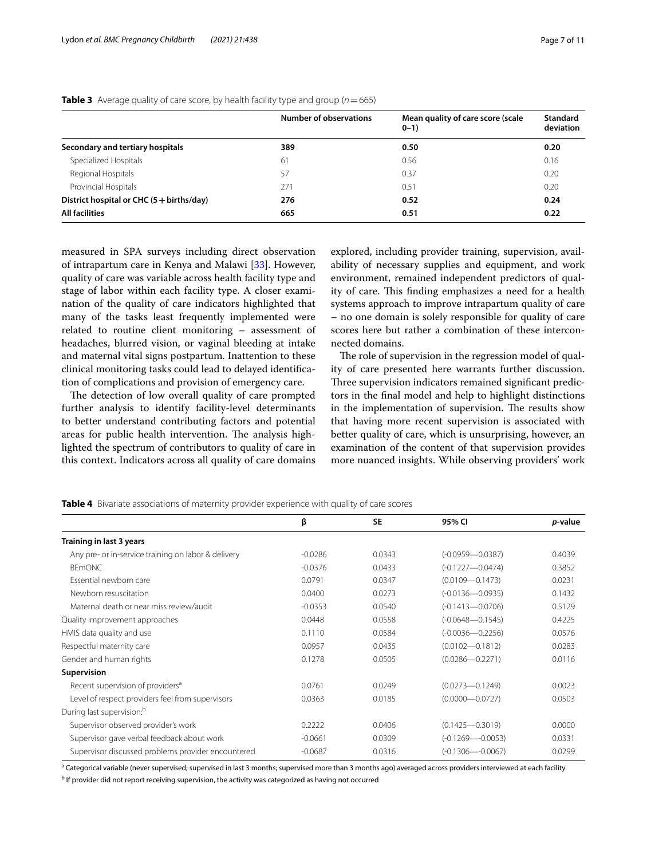|                                                    | <b>Number of observations</b> | Mean quality of care score (scale<br>$0 - 1$ | Standard<br>deviation |
|----------------------------------------------------|-------------------------------|----------------------------------------------|-----------------------|
| Secondary and tertiary hospitals                   | 389                           | 0.50                                         | 0.20                  |
| Specialized Hospitals                              | 61                            | 0.56                                         | 0.16                  |
| Regional Hospitals                                 | 57                            | 0.37                                         | 0.20                  |
| Provincial Hospitals                               | 271                           | 0.51                                         | 0.20                  |
| District hospital or CHC $(5 + \text{births/day})$ | 276                           | 0.52                                         | 0.24                  |
| <b>All facilities</b>                              | 665                           | 0.51                                         | 0.22                  |

# <span id="page-6-0"></span>**Table 3** Average quality of care score, by health facility type and group  $(n=665)$

measured in SPA surveys including direct observation of intrapartum care in Kenya and Malawi [[33\]](#page-10-20). However, quality of care was variable across health facility type and stage of labor within each facility type. A closer examination of the quality of care indicators highlighted that many of the tasks least frequently implemented were related to routine client monitoring – assessment of headaches, blurred vision, or vaginal bleeding at intake and maternal vital signs postpartum. Inattention to these clinical monitoring tasks could lead to delayed identifcation of complications and provision of emergency care.

The detection of low overall quality of care prompted further analysis to identify facility-level determinants to better understand contributing factors and potential areas for public health intervention. The analysis highlighted the spectrum of contributors to quality of care in this context. Indicators across all quality of care domains explored, including provider training, supervision, availability of necessary supplies and equipment, and work environment, remained independent predictors of quality of care. This finding emphasizes a need for a health systems approach to improve intrapartum quality of care – no one domain is solely responsible for quality of care scores here but rather a combination of these interconnected domains.

The role of supervision in the regression model of quality of care presented here warrants further discussion. Three supervision indicators remained significant predictors in the fnal model and help to highlight distinctions in the implementation of supervision. The results show that having more recent supervision is associated with better quality of care, which is unsurprising, however, an examination of the content of that supervision provides more nuanced insights. While observing providers' work

<span id="page-6-1"></span>**Table 4** Bivariate associations of maternity provider experience with quality of care scores

|                                                     | β         | <b>SE</b> | 95% CI               | <i>p</i> -value |
|-----------------------------------------------------|-----------|-----------|----------------------|-----------------|
| Training in last 3 years                            |           |           |                      |                 |
| Any pre- or in-service training on labor & delivery | $-0.0286$ | 0.0343    | $(-0.0959 - 0.0387)$ | 0.4039          |
| <b>BEMONC</b>                                       | $-0.0376$ | 0.0433    | $(-0.1227 - 0.0474)$ | 0.3852          |
| Essential newborn care                              | 0.0791    | 0.0347    | $(0.0109 - 0.1473)$  | 0.0231          |
| Newborn resuscitation                               | 0.0400    | 0.0273    | $(-0.0136 - 0.0935)$ | 0.1432          |
| Maternal death or near miss review/audit            | $-0.0353$ | 0.0540    | $(-0.1413 - 0.0706)$ | 0.5129          |
| Quality improvement approaches                      | 0.0448    | 0.0558    | $(-0.0648 - 0.1545)$ | 0.4225          |
| HMIS data quality and use                           | 0.1110    | 0.0584    | $(-0.0036 - 0.2256)$ | 0.0576          |
| Respectful maternity care                           | 0.0957    | 0.0435    | $(0.0102 - 0.1812)$  | 0.0283          |
| Gender and human rights                             | 0.1278    | 0.0505    | $(0.0286 - 0.2271)$  | 0.0116          |
| Supervision                                         |           |           |                      |                 |
| Recent supervision of providers <sup>a</sup>        | 0.0761    | 0.0249    | $(0.0273 - 0.1249)$  | 0.0023          |
| Level of respect providers feel from supervisors    | 0.0363    | 0.0185    | $(0.0000 - 0.0727)$  | 0.0503          |
| During last supervision: <sup>b</sup>               |           |           |                      |                 |
| Supervisor observed provider's work                 | 0.2222    | 0.0406    | $(0.1425 - 0.3019)$  | 0.0000          |
| Supervisor gave verbal feedback about work          | $-0.0661$ | 0.0309    | $(-0.1269 - 0.0053)$ | 0.0331          |
| Supervisor discussed problems provider encountered  | $-0.0687$ | 0.0316    | $(-0.1306 - 0.0067)$ | 0.0299          |

<sup>a</sup> Categorical variable (never supervised; supervised in last 3 months; supervised more than 3 months ago) averaged across providers interviewed at each facility

<sup>b</sup> If provider did not report receiving supervision, the activity was categorized as having not occurred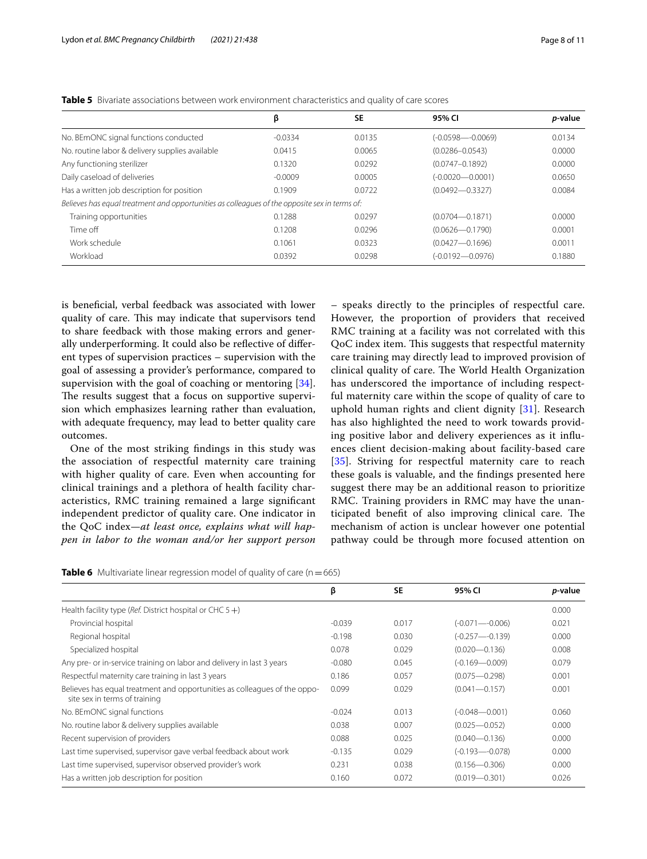|           |        | 95% CI                                                                                                     | <i>p</i> -value |
|-----------|--------|------------------------------------------------------------------------------------------------------------|-----------------|
|           |        |                                                                                                            |                 |
| $-0.0334$ | 0.0135 | $(-0.0598 - 0.0069)$                                                                                       | 0.0134          |
| 0.0415    | 0.0065 | $(0.0286 - 0.0543)$                                                                                        | 0.0000          |
| 0.1320    | 0.0292 | $(0.0747 - 0.1892)$                                                                                        | 0.0000          |
| $-0.0009$ | 0.0005 | $(-0.0020 - 0.0001)$                                                                                       | 0.0650          |
| 0.1909    | 0.0722 | $(0.0492 - 0.3327)$                                                                                        | 0.0084          |
|           |        |                                                                                                            |                 |
| 0.1288    | 0.0297 | $(0.0704 - 0.1871)$                                                                                        | 0.0000          |
| 0.1208    | 0.0296 | $(0.0626 - 0.1790)$                                                                                        | 0.0001          |
| 0.1061    | 0.0323 | $(0.0427 - 0.1696)$                                                                                        | 0.0011          |
| 0.0392    | 0.0298 | $(-0.0192 - 0.0976)$                                                                                       | 0.1880          |
|           | β      | <b>SE</b><br>Believes has equal treatment and opportunities as colleagues of the opposite sex in terms of: |                 |

<span id="page-7-0"></span>**Table 5** Bivariate associations between work environment characteristics and quality of care scores

is benefcial, verbal feedback was associated with lower quality of care. This may indicate that supervisors tend to share feedback with those making errors and generally underperforming. It could also be refective of diferent types of supervision practices – supervision with the goal of assessing a provider's performance, compared to supervision with the goal of coaching or mentoring [\[34](#page-10-21)]. The results suggest that a focus on supportive supervision which emphasizes learning rather than evaluation, with adequate frequency, may lead to better quality care outcomes.

One of the most striking fndings in this study was the association of respectful maternity care training with higher quality of care. Even when accounting for clinical trainings and a plethora of health facility characteristics, RMC training remained a large signifcant independent predictor of quality care. One indicator in the QoC index—*at least once, explains what will happen in labor to the woman and/or her support person* – speaks directly to the principles of respectful care. However, the proportion of providers that received RMC training at a facility was not correlated with this QoC index item. This suggests that respectful maternity care training may directly lead to improved provision of clinical quality of care. The World Health Organization has underscored the importance of including respectful maternity care within the scope of quality of care to uphold human rights and client dignity [[31\]](#page-10-17). Research has also highlighted the need to work towards providing positive labor and delivery experiences as it infuences client decision-making about facility-based care [[35](#page-10-22)]. Striving for respectful maternity care to reach these goals is valuable, and the fndings presented here suggest there may be an additional reason to prioritize RMC. Training providers in RMC may have the unanticipated benefit of also improving clinical care. The mechanism of action is unclear however one potential pathway could be through more focused attention on

<span id="page-7-1"></span>

| Table 6 Multivariate linear regression model of quality of care (n = 665) |  |
|---------------------------------------------------------------------------|--|
|---------------------------------------------------------------------------|--|

|                                                                                                            | β        | <b>SE</b> | 95% CI             | <i>p</i> -value |
|------------------------------------------------------------------------------------------------------------|----------|-----------|--------------------|-----------------|
| Health facility type (Ref. District hospital or CHC $5 +$ )                                                |          |           |                    | 0.000           |
| Provincial hospital                                                                                        | $-0.039$ | 0.017     | $(-0.071 - 0.006)$ | 0.021           |
| Regional hospital                                                                                          | $-0.198$ | 0.030     | $(-0.257 - 0.139)$ | 0.000           |
| Specialized hospital                                                                                       | 0.078    | 0.029     | $(0.020 - 0.136)$  | 0.008           |
| Any pre- or in-service training on labor and delivery in last 3 years                                      | $-0.080$ | 0.045     | $(-0.169 - 0.009)$ | 0.079           |
| Respectful maternity care training in last 3 years                                                         | 0.186    | 0.057     | $(0.075 - 0.298)$  | 0.001           |
| Believes has equal treatment and opportunities as colleagues of the oppo-<br>site sex in terms of training | 0.099    | 0.029     | $(0.041 - 0.157)$  | 0.001           |
| No. BEmONC signal functions                                                                                | $-0.024$ | 0.013     | $(-0.048 - 0.001)$ | 0.060           |
| No. routine labor & delivery supplies available                                                            | 0.038    | 0.007     | $(0.025 - 0.052)$  | 0.000           |
| Recent supervision of providers                                                                            | 0.088    | 0.025     | $(0.040 - 0.136)$  | 0.000           |
| Last time supervised, supervisor gave verbal feedback about work                                           | $-0.135$ | 0.029     | $(-0.193 - 0.078)$ | 0.000           |
| Last time supervised, supervisor observed provider's work                                                  | 0.231    | 0.038     | $(0.156 - 0.306)$  | 0.000           |
| Has a written job description for position                                                                 | 0.160    | 0.072     | $(0.019 - 0.301)$  | 0.026           |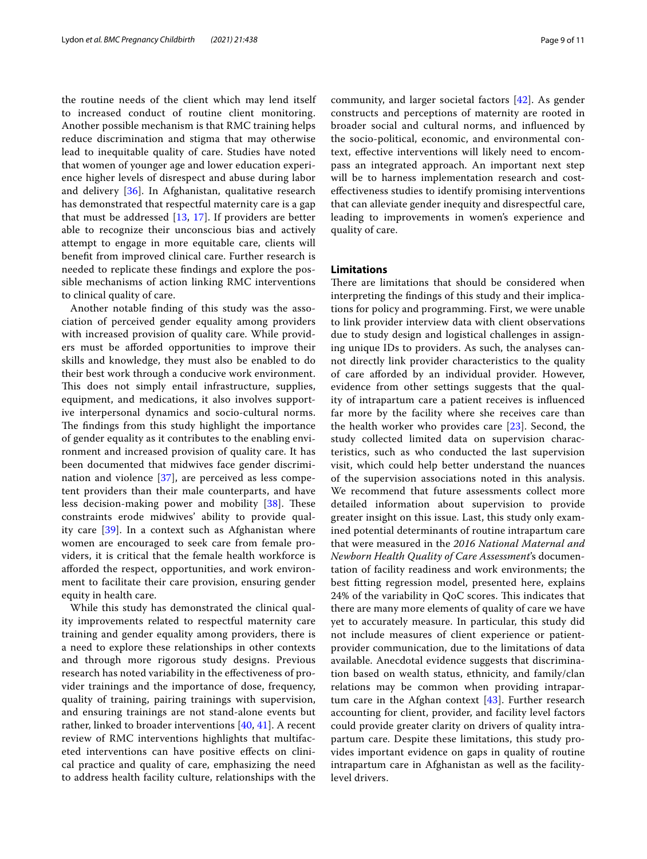the routine needs of the client which may lend itself to increased conduct of routine client monitoring. Another possible mechanism is that RMC training helps reduce discrimination and stigma that may otherwise lead to inequitable quality of care. Studies have noted that women of younger age and lower education experience higher levels of disrespect and abuse during labor and delivery [[36](#page-10-23)]. In Afghanistan, qualitative research has demonstrated that respectful maternity care is a gap that must be addressed [\[13](#page-10-2), [17](#page-10-6)]. If providers are better able to recognize their unconscious bias and actively attempt to engage in more equitable care, clients will beneft from improved clinical care. Further research is needed to replicate these fndings and explore the possible mechanisms of action linking RMC interventions to clinical quality of care.

Another notable fnding of this study was the association of perceived gender equality among providers with increased provision of quality care. While providers must be aforded opportunities to improve their skills and knowledge, they must also be enabled to do their best work through a conducive work environment. This does not simply entail infrastructure, supplies, equipment, and medications, it also involves supportive interpersonal dynamics and socio-cultural norms. The findings from this study highlight the importance of gender equality as it contributes to the enabling environment and increased provision of quality care. It has been documented that midwives face gender discrimination and violence [[37](#page-10-24)], are perceived as less competent providers than their male counterparts, and have less decision-making power and mobility [[38\]](#page-10-25). These constraints erode midwives' ability to provide quality care [[39\]](#page-10-26). In a context such as Afghanistan where women are encouraged to seek care from female providers, it is critical that the female health workforce is aforded the respect, opportunities, and work environment to facilitate their care provision, ensuring gender equity in health care.

While this study has demonstrated the clinical quality improvements related to respectful maternity care training and gender equality among providers, there is a need to explore these relationships in other contexts and through more rigorous study designs. Previous research has noted variability in the efectiveness of provider trainings and the importance of dose, frequency, quality of training, pairing trainings with supervision, and ensuring trainings are not stand-alone events but rather, linked to broader interventions [[40](#page-10-27), [41\]](#page-10-28). A recent review of RMC interventions highlights that multifaceted interventions can have positive efects on clinical practice and quality of care, emphasizing the need to address health facility culture, relationships with the community, and larger societal factors [[42](#page-10-29)]. As gender constructs and perceptions of maternity are rooted in broader social and cultural norms, and infuenced by the socio-political, economic, and environmental context, efective interventions will likely need to encompass an integrated approach. An important next step will be to harness implementation research and costefectiveness studies to identify promising interventions that can alleviate gender inequity and disrespectful care, leading to improvements in women's experience and quality of care.

# **Limitations**

There are limitations that should be considered when interpreting the fndings of this study and their implications for policy and programming. First, we were unable to link provider interview data with client observations due to study design and logistical challenges in assigning unique IDs to providers. As such, the analyses cannot directly link provider characteristics to the quality of care aforded by an individual provider. However, evidence from other settings suggests that the quality of intrapartum care a patient receives is infuenced far more by the facility where she receives care than the health worker who provides care [[23\]](#page-10-9). Second, the study collected limited data on supervision characteristics, such as who conducted the last supervision visit, which could help better understand the nuances of the supervision associations noted in this analysis. We recommend that future assessments collect more detailed information about supervision to provide greater insight on this issue. Last, this study only examined potential determinants of routine intrapartum care that were measured in the *2016 National Maternal and Newborn Health Quality of Care Assessment*'s documentation of facility readiness and work environments; the best ftting regression model, presented here, explains 24% of the variability in QoC scores. This indicates that there are many more elements of quality of care we have yet to accurately measure. In particular, this study did not include measures of client experience or patientprovider communication, due to the limitations of data available. Anecdotal evidence suggests that discrimination based on wealth status, ethnicity, and family/clan relations may be common when providing intrapartum care in the Afghan context [[43\]](#page-10-30). Further research accounting for client, provider, and facility level factors could provide greater clarity on drivers of quality intrapartum care. Despite these limitations, this study provides important evidence on gaps in quality of routine intrapartum care in Afghanistan as well as the facilitylevel drivers.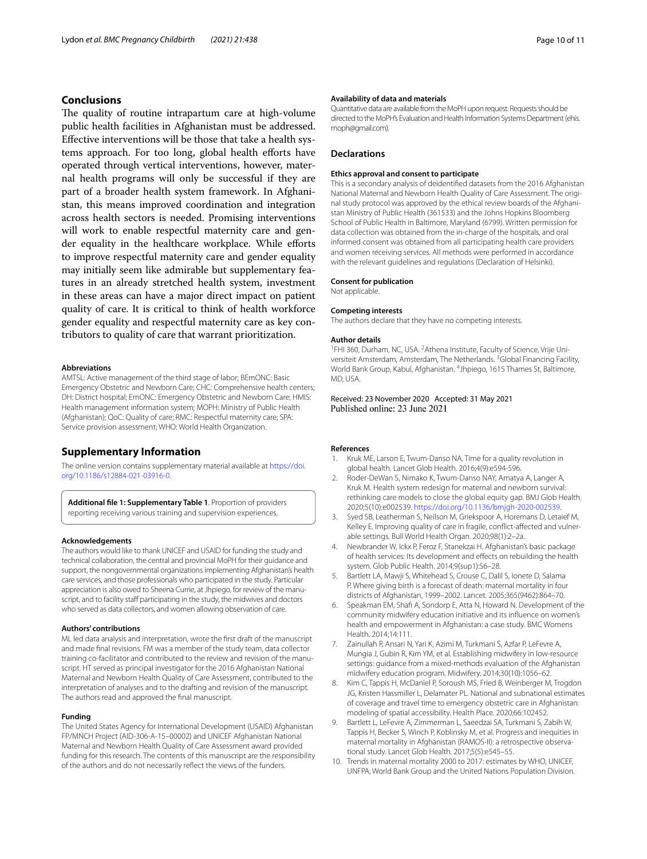# **Conclusions**

The quality of routine intrapartum care at high-volume public health facilities in Afghanistan must be addressed. Efective interventions will be those that take a health systems approach. For too long, global health efforts have operated through vertical interventions, however, maternal health programs will only be successful if they are part of a broader health system framework. In Afghanistan, this means improved coordination and integration across health sectors is needed. Promising interventions will work to enable respectful maternity care and gender equality in the healthcare workplace. While efforts to improve respectful maternity care and gender equality may initially seem like admirable but supplementary features in an already stretched health system, investment in these areas can have a major direct impact on patient quality of care. It is critical to think of health workforce gender equality and respectful maternity care as key contributors to quality of care that warrant prioritization.

#### **Abbreviations**

AMTSL: Active management of the third stage of labor; BEmONC: Basic Emergency Obstetric and Newborn Care; CHC: Comprehensive health centers; DH: District hospital; EmONC: Emergency Obstetric and Newborn Care; HMIS: Health management information system; MOPH: Ministry of Public Health (Afghanistan); QoC: Quality of care; RMC: Respectful maternity care; SPA: Service provision assessment; WHO: World Health Organization.

### **Supplementary Information**

The online version contains supplementary material available at [https://doi.](https://doi.org/10.1186/s12884-021-03916-0) [org/10.1186/s12884-021-03916-0](https://doi.org/10.1186/s12884-021-03916-0).

**Additional fle 1: Supplementary Table 1**. Proportion of providers reporting receiving various training and supervision experiences.

#### **Acknowledgements**

The authors would like to thank UNICEF and USAID for funding the study and technical collaboration, the central and provincial MoPH for their guidance and support, the nongovernmental organizations implementing Afghanistan's health care services, and those professionals who participated in the study. Particular appreciation is also owed to Sheena Currie, at Jhpiego, for review of the manuscript, and to facility staff participating in the study, the midwives and doctors who served as data collectors, and women allowing observation of care.

#### **Authors' contributions**

ML led data analysis and interpretation, wrote the frst draft of the manuscript and made fnal revisions. FM was a member of the study team, data collector training co-facilitator and contributed to the review and revision of the manuscript. HT served as principal investigator for the 2016 Afghanistan National Maternal and Newborn Health Quality of Care Assessment, contributed to the interpretation of analyses and to the drafting and revision of the manuscript. The authors read and approved the fnal manuscript.

#### **Funding**

The United States Agency for International Development (USAID) Afghanistan FP/MNCH Project (AID-306-A-15–00002) and UNICEF Afghanistan National Maternal and Newborn Health Quality of Care Assessment award provided funding for this research. The contents of this manuscript are the responsibility of the authors and do not necessarily refect the views of the funders.

## **Availability of data and materials**

Quantitative data are available from the MoPH upon request. Requests should be directed to the MoPH's Evaluation and Health Information Systems Department (ehis. moph@gmail.com).

#### **Declarations**

#### **Ethics approval and consent to participate**

This is a secondary analysis of deidentifed datasets from the 2016 Afghanistan National Maternal and Newborn Health Quality of Care Assessment. The original study protocol was approved by the ethical review boards of the Afghanistan Ministry of Public Health (361533) and the Johns Hopkins Bloomberg School of Public Health in Baltimore, Maryland (6799). Written permission for data collection was obtained from the in-charge of the hospitals, and oral informed consent was obtained from all participating health care providers and women receiving services. All methods were performed in accordance with the relevant guidelines and regulations (Declaration of Helsinki).

#### **Consent for publication**

Not applicable.

#### **Competing interests**

The authors declare that they have no competing interests.

#### **Author details**

<sup>1</sup>FHI 360, Durham, NC, USA. <sup>2</sup> Athena Institute, Faculty of Science, Vrije Universiteit Amsterdam, Amsterdam, The Netherlands. <sup>3</sup>Global Financing Facility, World Bank Group, Kabul, Afghanistan. <sup>4</sup>Jhpiego, 1615 Thames St, Baltimore, MD, USA.

Received: 23 November 2020 Accepted: 31 May 2021 Published online: 23 June 2021

#### **References**

- <span id="page-9-0"></span>1. Kruk ME, Larson E, Twum-Danso NA. Time for a quality revolution in global health. Lancet Glob Health. 2016;4(9):e594-596.
- <span id="page-9-1"></span>2. Roder-DeWan S, Nimako K, Twum-Danso NAY, Amatya A, Langer A, Kruk M. Health system redesign for maternal and newborn survival: rethinking care models to close the global equity gap. BMJ Glob Health. 2020;5(10):e002539. [https://doi.org/10.1136/bmjgh-2020-002539.](https://doi.org/10.1136/bmjgh-2020-002539)
- <span id="page-9-2"></span>3. Syed SB, Leatherman S, Neilson M, Griekspoor A, Horemans D, Letaief M, Kelley E. Improving quality of care in fragile, confict-afected and vulnerable settings. Bull World Health Organ. 2020;98(1):2–2a.
- <span id="page-9-3"></span>Newbrander W, Ickx P, Feroz F, Stanekzai H. Afghanistan's basic package of health services: Its development and efects on rebuilding the health system. Glob Public Health. 2014;9(sup1):S6–28.
- <span id="page-9-4"></span>5. Bartlett LA, Mawji S, Whitehead S, Crouse C, Dalil S, Ionete D, Salama P. Where giving birth is a forecast of death: maternal mortality in four districts of Afghanistan, 1999–2002. Lancet. 2005;365(9462):864–70.
- <span id="page-9-5"></span>6. Speakman EM, Shaf A, Sondorp E, Atta N, Howard N. Development of the community midwifery education initiative and its infuence on women's health and empowerment in Afghanistan: a case study. BMC Womens Health. 2014;14:111.
- <span id="page-9-6"></span>7. Zainullah P, Ansari N, Yari K, Azimi M, Turkmani S, Azfar P, LeFevre A, Mungia J, Gubin R, Kim YM, et al. Establishing midwifery in low-resource settings: guidance from a mixed-methods evaluation of the Afghanistan midwifery education program. Midwifery. 2014;30(10):1056–62.
- <span id="page-9-7"></span>8. Kim C, Tappis H, McDaniel P, Soroush MS, Fried B, Weinberger M, Trogdon JG, Kristen Hassmiller L, Delamater PL. National and subnational estimates of coverage and travel time to emergency obstetric care in Afghanistan: modeling of spatial accessibility. Health Place. 2020;66:102452.
- <span id="page-9-8"></span>9. Bartlett L, LeFevre A, Zimmerman L, Saeedzai SA, Turkmani S, Zabih W, Tappis H, Becker S, Winch P, Koblinsky M, et al. Progress and inequities in maternal mortality in Afghanistan (RAMOS-II): a retrospective observational study. Lancet Glob Health. 2017;5(5):e545–55.
- <span id="page-9-9"></span>10. Trends in maternal mortality 2000 to 2017: estimates by WHO, UNICEF, UNFPA, World Bank Group and the United Nations Population Division.